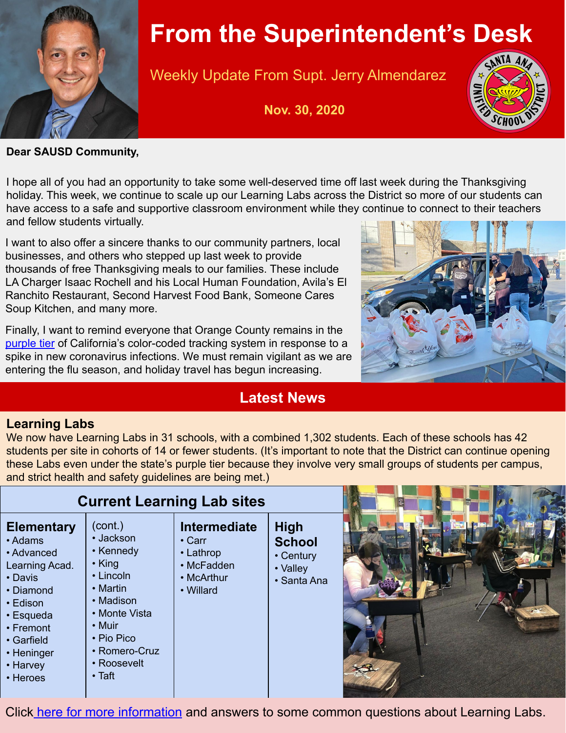

# **From the Superintendent's Desk**

Weekly Update From Supt. Jerry Almendarez

**Nov. 30, 2020**



**Dear SAUSD Community,**

I hope all of you had an opportunity to take some well-deserved time off last week during the Thanksgiving holiday. This week, we continue to scale up our Learning Labs across the District so more of our students can have access to a safe and supportive classroom environment while they continue to connect to their teachers and fellow students virtually.

I want to also offer a sincere thanks to our community partners, local businesses, and others who stepped up last week to provide thousands of free Thanksgiving meals to our families. These include LA Charger Isaac Rochell and his Local Human Foundation, Avila's El Ranchito Restaurant, Second Harvest Food Bank, Someone Cares Soup Kitchen, and many more.

Finally, I want to remind everyone that Orange County remains in the [purple tier](https://nam04.safelinks.protection.outlook.com/?url=https%3A%2F%2Fcovid19.ca.gov%2Fsafer-economy%2F%23county-status&data=04%7C01%7Cfermin.leal%40sausd.us%7C69d9537aac354037b43108d88a79b2f2%7C423a588323f3494690cd39bfb05ed5d0%7C0%7C0%7C637411602595763521%7CUnknown%7CTWFpbGZsb3d8eyJWIjoiMC4wLjAwMDAiLCJQIjoiV2luMzIiLCJBTiI6Ik1haWwiLCJXVCI6Mn0%3D%7C1000&sdata=IEyRX2U1%2F91%2FaNYePr2yKwMCyJmX76iIHz%2FMlNGToNc%3D&reserved=0) of California's color-coded tracking system in response to a spike in new coronavirus infections. We must remain vigilant as we are entering the flu season, and holiday travel has begun increasing.

## **Latest News**



### **Learning Labs**

We now have Learning Labs in 31 schools, with a combined 1,302 students. Each of these schools has 42 students per site in cohorts of 14 or fewer students. (It's important to note that the District can continue opening these Labs even under the state's purple tier because they involve very small groups of students per campus, and strict health and safety guidelines are being met.)

|                                                                                                                                                                                | <b>Current Learning Lab sites</b>                                                                                                                                                      |                                                                                    |                                                                      |  |
|--------------------------------------------------------------------------------------------------------------------------------------------------------------------------------|----------------------------------------------------------------------------------------------------------------------------------------------------------------------------------------|------------------------------------------------------------------------------------|----------------------------------------------------------------------|--|
| <b>Elementary</b><br>• Adams<br>• Advanced<br>Learning Acad.<br>• Davis<br>• Diamond<br>• Edison<br>• Esqueda<br>• Fremont<br>• Garfield<br>• Heninger<br>• Harvey<br>• Heroes | (cont.)<br>• Jackson<br>• Kennedy<br>· King<br>$\cdot$ Lincoln<br>• Martin<br>• Madison<br>• Monte Vista<br>$\cdot$ Muir<br>• Pio Pico<br>• Romero-Cruz<br>• Roosevelt<br>$\cdot$ Taft | Intermediate<br>$\cdot$ Carr<br>• Lathrop<br>• McFadden<br>• McArthur<br>• Willard | <b>High</b><br><b>School</b><br>• Century<br>• Valley<br>• Santa Ana |  |

Click [here for more information](https://docs.google.com/document/d/1t38Az05_PbsuMaKe6g3SRbzaiNVuB1oq5-PBpgW6GgA/edit) and answers to some common questions about Learning Labs.